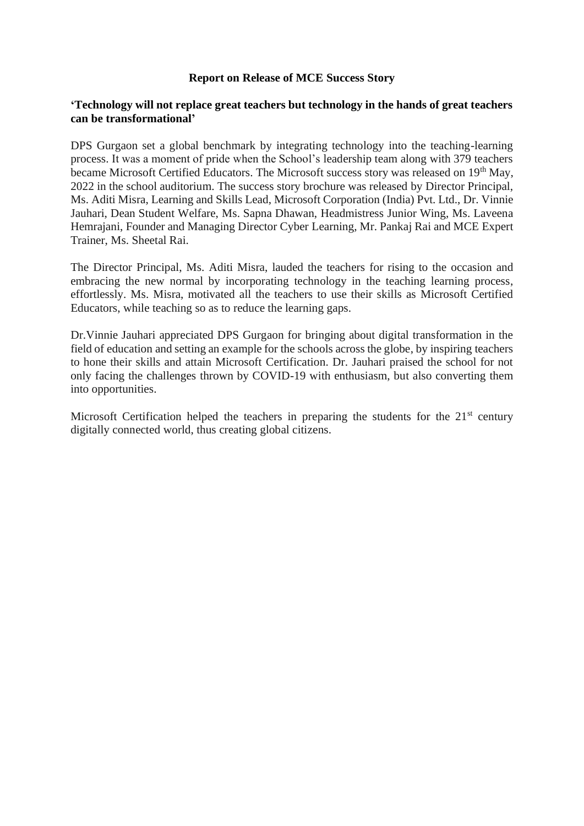## **Report on Release of MCE Success Story**

## **'Technology will not replace great teachers but technology in the hands of great teachers can be transformational'**

DPS Gurgaon set a global benchmark by integrating technology into the teaching-learning process. It was a moment of pride when the School's leadership team along with 379 teachers became Microsoft Certified Educators. The Microsoft success story was released on 19<sup>th</sup> May, 2022 in the school auditorium. The success story brochure was released by Director Principal, Ms. Aditi Misra, Learning and Skills Lead, Microsoft Corporation (India) Pvt. Ltd., Dr. Vinnie Jauhari, Dean Student Welfare, Ms. Sapna Dhawan, Headmistress Junior Wing, Ms. Laveena Hemrajani, Founder and Managing Director Cyber Learning, Mr. Pankaj Rai and MCE Expert Trainer, Ms. Sheetal Rai.

The Director Principal, Ms. Aditi Misra, lauded the teachers for rising to the occasion and embracing the new normal by incorporating technology in the teaching learning process, effortlessly. Ms. Misra, motivated all the teachers to use their skills as Microsoft Certified Educators, while teaching so as to reduce the learning gaps.

Dr.Vinnie Jauhari appreciated DPS Gurgaon for bringing about digital transformation in the field of education and setting an example for the schools across the globe, by inspiring teachers to hone their skills and attain Microsoft Certification. Dr. Jauhari praised the school for not only facing the challenges thrown by COVID-19 with enthusiasm, but also converting them into opportunities.

Microsoft Certification helped the teachers in preparing the students for the  $21<sup>st</sup>$  century digitally connected world, thus creating global citizens.